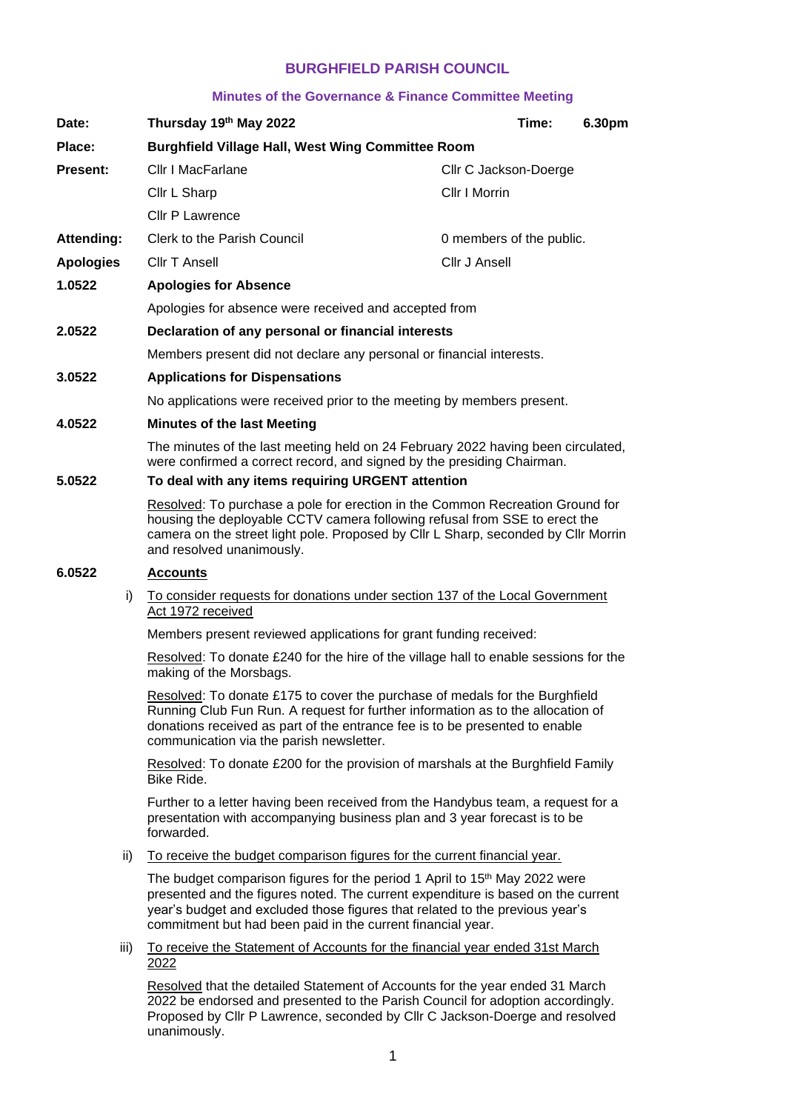# **BURGHFIELD PARISH COUNCIL**

#### **Minutes of the Governance & Finance Committee Meeting**

| Date:             | Thursday 19th May 2022                                                                                                                                                                                                                                                                                                    |                          | Time: | 6.30pm |
|-------------------|---------------------------------------------------------------------------------------------------------------------------------------------------------------------------------------------------------------------------------------------------------------------------------------------------------------------------|--------------------------|-------|--------|
| Place:            | <b>Burghfield Village Hall, West Wing Committee Room</b>                                                                                                                                                                                                                                                                  |                          |       |        |
| <b>Present:</b>   | Cllr I MacFarlane                                                                                                                                                                                                                                                                                                         | Cllr C Jackson-Doerge    |       |        |
|                   | Cllr L Sharp                                                                                                                                                                                                                                                                                                              | Cllr I Morrin            |       |        |
|                   | Cllr P Lawrence                                                                                                                                                                                                                                                                                                           |                          |       |        |
| <b>Attending:</b> | <b>Clerk to the Parish Council</b>                                                                                                                                                                                                                                                                                        | 0 members of the public. |       |        |
| <b>Apologies</b>  | <b>Cllr T Ansell</b>                                                                                                                                                                                                                                                                                                      | Cllr J Ansell            |       |        |
| 1.0522            | <b>Apologies for Absence</b>                                                                                                                                                                                                                                                                                              |                          |       |        |
|                   | Apologies for absence were received and accepted from                                                                                                                                                                                                                                                                     |                          |       |        |
| 2.0522            | Declaration of any personal or financial interests                                                                                                                                                                                                                                                                        |                          |       |        |
|                   | Members present did not declare any personal or financial interests.                                                                                                                                                                                                                                                      |                          |       |        |
| 3.0522            | <b>Applications for Dispensations</b>                                                                                                                                                                                                                                                                                     |                          |       |        |
|                   | No applications were received prior to the meeting by members present.                                                                                                                                                                                                                                                    |                          |       |        |
| 4.0522            | <b>Minutes of the last Meeting</b>                                                                                                                                                                                                                                                                                        |                          |       |        |
|                   | The minutes of the last meeting held on 24 February 2022 having been circulated,<br>were confirmed a correct record, and signed by the presiding Chairman.                                                                                                                                                                |                          |       |        |
| 5.0522            | To deal with any items requiring URGENT attention                                                                                                                                                                                                                                                                         |                          |       |        |
|                   | Resolved: To purchase a pole for erection in the Common Recreation Ground for<br>housing the deployable CCTV camera following refusal from SSE to erect the<br>camera on the street light pole. Proposed by Cllr L Sharp, seconded by Cllr Morrin<br>and resolved unanimously.                                            |                          |       |        |
| 6.0522            | <b>Accounts</b>                                                                                                                                                                                                                                                                                                           |                          |       |        |
| i)                | To consider requests for donations under section 137 of the Local Government<br>Act 1972 received                                                                                                                                                                                                                         |                          |       |        |
|                   | Members present reviewed applications for grant funding received:                                                                                                                                                                                                                                                         |                          |       |        |
|                   | Resolved: To donate £240 for the hire of the village hall to enable sessions for the<br>making of the Morsbags.                                                                                                                                                                                                           |                          |       |        |
|                   | Resolved: To donate £175 to cover the purchase of medals for the Burghfield<br>Running Club Fun Run. A request for further information as to the allocation of<br>donations received as part of the entrance fee is to be presented to enable<br>communication via the parish newsletter.                                 |                          |       |        |
|                   | Resolved: To donate £200 for the provision of marshals at the Burghfield Family<br>Bike Ride.                                                                                                                                                                                                                             |                          |       |        |
|                   | Further to a letter having been received from the Handybus team, a request for a<br>presentation with accompanying business plan and 3 year forecast is to be<br>forwarded.                                                                                                                                               |                          |       |        |
| ii)               | To receive the budget comparison figures for the current financial year.                                                                                                                                                                                                                                                  |                          |       |        |
|                   | The budget comparison figures for the period 1 April to 15 <sup>th</sup> May 2022 were<br>presented and the figures noted. The current expenditure is based on the current<br>year's budget and excluded those figures that related to the previous year's<br>commitment but had been paid in the current financial year. |                          |       |        |
| iii)              | To receive the Statement of Accounts for the financial year ended 31st March<br><u> 2022</u>                                                                                                                                                                                                                              |                          |       |        |

Resolved that the detailed Statement of Accounts for the year ended 31 March 2022 be endorsed and presented to the Parish Council for adoption accordingly. Proposed by Cllr P Lawrence, seconded by Cllr C Jackson-Doerge and resolved unanimously.